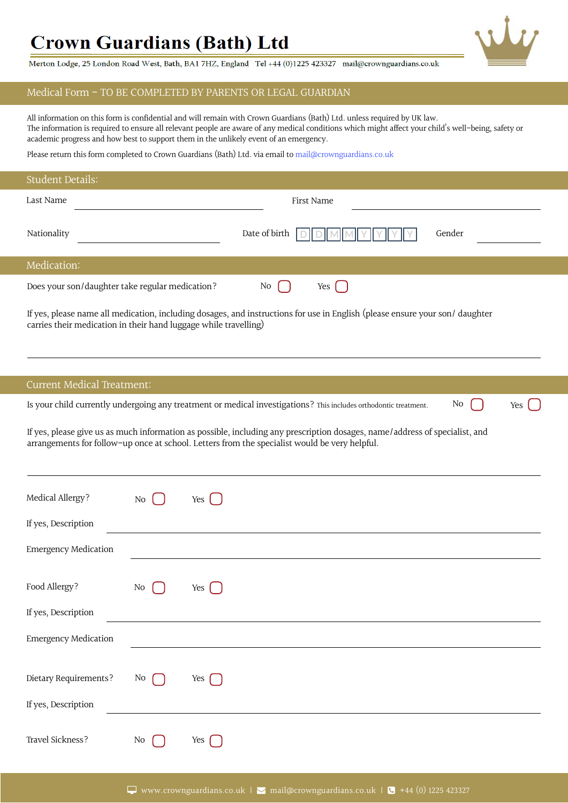## **Crown Guardians (Bath) Ltd**

Merton Lodge, 25 London Road West, Bath, BA1 7HZ, England Tel +44 (0)1225 423327 mail@crownguardians.co.uk

## Medical Form - TO BE COMPLETED BY PARENTS OR LEGAL GUARDIAN

The information is required to ensure all relevant people are aware of any medical conditions which might affect your child's well-being, safety or academic progress and how best to support them in the unlikely event of an emergency. All information on this form is confidential and will remain with Crown Guardians (Bath) Ltd. unless required by UK law.

Please return this form completed to Crown Guardians (Bath) Ltd. via email to mail@crownguardians.co.uk

| <b>Student Details:</b>                                          |    |                                                                                                                                                                                                                              |  |
|------------------------------------------------------------------|----|------------------------------------------------------------------------------------------------------------------------------------------------------------------------------------------------------------------------------|--|
| Last Name                                                        |    | First Name                                                                                                                                                                                                                   |  |
| Nationality                                                      |    | Date of birth<br>Gender                                                                                                                                                                                                      |  |
| Medication:                                                      |    |                                                                                                                                                                                                                              |  |
| Does your son/daughter take regular medication?                  |    | No<br>Yes                                                                                                                                                                                                                    |  |
| carries their medication in their hand luggage while travelling) |    | If yes, please name all medication, including dosages, and instructions for use in English (please ensure your son/daughter                                                                                                  |  |
| <b>Current Medical Treatment:</b>                                |    |                                                                                                                                                                                                                              |  |
|                                                                  |    | Is your child currently undergoing any treatment or medical investigations? This includes orthodontic treatment.<br>No<br>Yes                                                                                                |  |
|                                                                  |    | If yes, please give us as much information as possible, including any prescription dosages, name/address of specialist, and<br>arrangements for follow-up once at school. Letters from the specialist would be very helpful. |  |
| Medical Allergy?                                                 | No | Yes $\left\lceil$                                                                                                                                                                                                            |  |
| If yes, Description                                              |    |                                                                                                                                                                                                                              |  |
| <b>Emergency Medication</b>                                      |    |                                                                                                                                                                                                                              |  |
| Food Allergy?                                                    | N0 | Yes                                                                                                                                                                                                                          |  |
| If yes, Description                                              |    |                                                                                                                                                                                                                              |  |
| <b>Emergency Medication</b>                                      |    |                                                                                                                                                                                                                              |  |
| Dietary Requirements?<br>If yes, Description                     | No | Yes $\Box$                                                                                                                                                                                                                   |  |
|                                                                  |    |                                                                                                                                                                                                                              |  |
| Travel Sickness?                                                 | No | Yes                                                                                                                                                                                                                          |  |